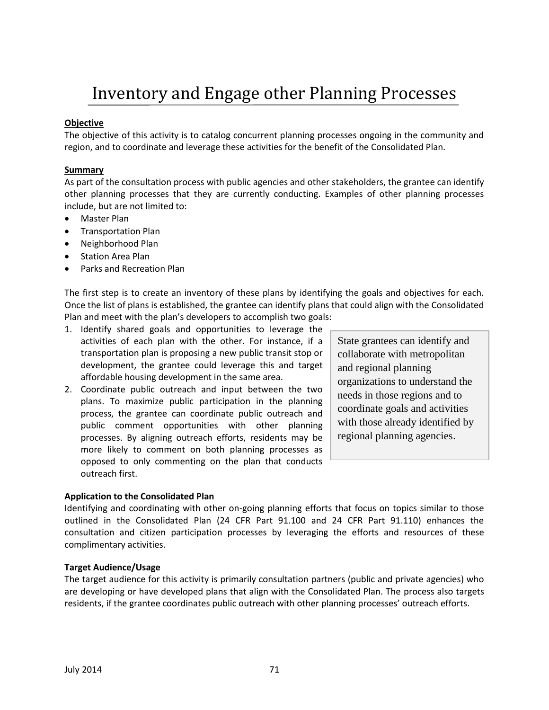# Inventory and Engage other Planning Processes

## **Objective**

The objective of this activity is to catalog concurrent planning processes ongoing in the community and region, and to coordinate and leverage these activities for the benefit of the Consolidated Plan.

## **Summary**

As part of the consultation process with public agencies and other stakeholders, the grantee can identify other planning processes that they are currently conducting. Examples of other planning processes include, but are not limited to:

- Master Plan
- **•** Transportation Plan
- Neighborhood Plan
- Station Area Plan
- Parks and Recreation Plan

The first step is to create an inventory of these plans by identifying the goals and objectives for each. Once the list of plans is established, the grantee can identify plans that could align with the Consolidated Plan and meet with the plan's developers to accomplish two goals:

- 1. Identify shared goals and opportunities to leverage the activities of each plan with the other. For instance, if a transportation plan is proposing a new public transit stop or development, the grantee could leverage this and target affordable housing development in the same area.
- 2. Coordinate public outreach and input between the two plans. To maximize public participation in the planning process, the grantee can coordinate public outreach and public comment opportunities with other planning processes. By aligning outreach efforts, residents may be more likely to comment on both planning processes as opposed to only commenting on the plan that conducts outreach first.

State grantees can identify and collaborate with metropolitan and regional planning organizations to understand the needs in those regions and to coordinate goals and activities with those already identified by regional planning agencies.

#### **Application to the Consolidated Plan**

Identifying and coordinating with other on-going planning efforts that focus on topics similar to those outlined in the Consolidated Plan (24 CFR Part 91.100 and 24 CFR Part 91.110) enhances the consultation and citizen participation processes by leveraging the efforts and resources of these complimentary activities.

## **Target Audience/Usage**

The target audience for this activity is primarily consultation partners (public and private agencies) who are developing or have developed plans that align with the Consolidated Plan. The process also targets residents, if the grantee coordinates public outreach with other planning processes' outreach efforts.